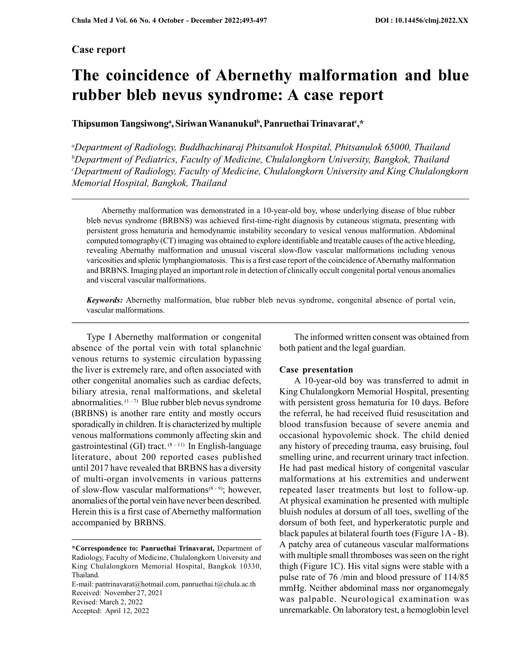## Case report

# The coincidence of Abernethy malformation and blue rubber bleb nevus syndrome: A case report

Thipsumon Tangsiwong<sup>a</sup>, Siriwan Wananukul<sup>b</sup>, Panruethai Trinavarat<sup>e</sup>,\*

<sup>a</sup>Department of Radiology, Buddhachinaraj Phitsanulok Hospital, Phitsanulok 65000, Thailand  $b$ Department of Pediatrics, Faculty of Medicine, Chulalongkorn University, Bangkok, Thailand <sup>c</sup>Department of Radiology, Faculty of Medicine, Chulalongkorn University and King Chulalongkorn Memorial Hospital, Bangkok, Thailand

Abernethy malformation was demonstrated in a 10-year-old boy, whose underlying disease of blue rubber bleb nevus syndrome (BRBNS) was achieved first-time-right diagnosis by cutaneous stigmata, presenting with persistent gross hematuria and hemodynamic instability secondary to vesical venous malformation. Abdominal computed tomography (CT) imaging was obtained to explore identifiable and treatable causes of the active bleeding, revealing Abernathy malformation and unusual visceral slow-flow vascular malformations including venous varicosities and splenic lymphangiomatosis. This is a first case report of the coincidence of Abernathy malformation and BRBNS. Imaging played an important role in detection of clinically occult congenital portal venous anomalies and visceral vascular malformations.

Keywords: Abernethy malformation, blue rubber bleb nevus syndrome, congenital absence of portal vein, vascular malformations.

Type I Abernethy malformation or congenital absence of the portal vein with total splanchnic venous returns to systemic circulation bypassing the liver is extremely rare, and often associated with other congenital anomalies such as cardiac defects, biliary atresia, renal malformations, and skeletal abnormalities.  $(1-7)$  Blue rubber bleb nevus syndrome (BRBNS) is another rare entity and mostly occurs sporadically in children. It is characterized by multiple venous malformations commonly affecting skin and gastrointestinal (GI) tract.  $(8-11)$  In English-language literature, about 200 reported cases published until 2017 have revealed that BRBNS has a diversity of multi-organ involvements in various patterns of slow-flow vascular malformations<sup>(8-9)</sup>; however, anomalies of the portal vein have never been described. Herein this is a first case of Abernethy malformation accompanied by BRBNS.

E-mail: pantrinavarat@hotmail.com, panruethai.t@chula.ac.th Received: November 27, 2021 Revised: March 2, 2022 Accepted: April 12, 2022

The informed written consent was obtained from both patient and the legal guardian.

#### Case presentation

A 10-year-old boy was transferred to admit in King Chulalongkorn Memorial Hospital, presenting with persistent gross hematuria for 10 days. Before the referral, he had received fluid resuscitation and blood transfusion because of severe anemia and occasional hypovolemic shock. The child denied any history of preceding trauma, easy bruising, foul smelling urine, and recurrent urinary tract infection. He had past medical history of congenital vascular malformations at his extremities and underwent repeated laser treatments but lost to follow-up. At physical examination he presented with multiple bluish nodules at dorsum of all toes, swelling of the dorsum of both feet, and hyperkeratotic purple and black papules at bilateral fourth toes (Figure 1A - B). A patchy area of cutaneous vascular malformations with multiple small thromboses was seen on the right thigh (Figure 1C). His vital signs were stable with a pulse rate of 76 /min and blood pressure of 114/85 mmHg. Neither abdominal mass nor organomegaly was palpable. Neurological examination was unremarkable. On laboratory test, a hemoglobin level

<sup>\*</sup>Correspondence to: Panruethai Trinavarat, Department of Radiology, Faculty of Medicine, Chulalongkorn University and King Chulalongkorn Memorial Hospital, Bangkok 10330, Thailand.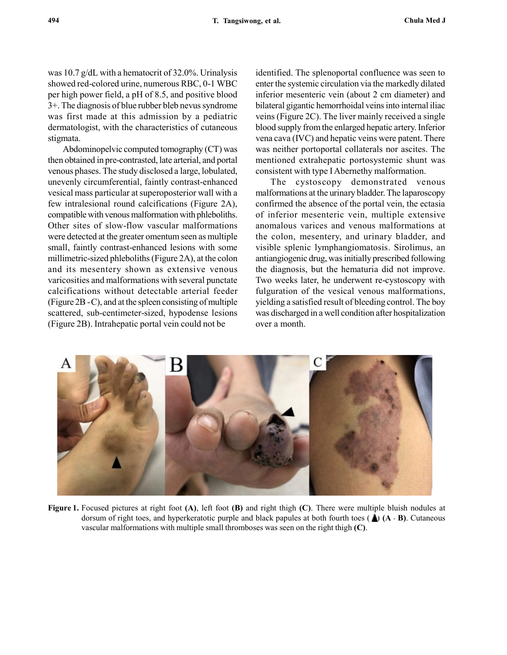was 10.7 g/dL with a hematocrit of 32.0%. Urinalysis showed red-colored urine, numerous RBC, 0-1 WBC per high power field, a pH of 8.5, and positive blood 3+. The diagnosis of blue rubber bleb nevus syndrome was first made at this admission by a pediatric dermatologist, with the characteristics of cutaneous stigmata.

Abdominopelvic computed tomography (CT) was then obtained in pre-contrasted, late arterial, and portal venous phases. The study disclosed a large, lobulated, unevenly circumferential, faintly contrast-enhanced vesical mass particular at superoposterior wall with a few intralesional round calcifications (Figure 2A), compatible with venous malformation with phleboliths. Other sites of slow-flow vascular malformations were detected at the greater omentum seen as multiple small, faintly contrast-enhanced lesions with some millimetric-sized phleboliths (Figure 2A), at the colon and its mesentery shown as extensive venous varicosities and malformations with several punctate calcifications without detectable arterial feeder (Figure 2B -C), and at the spleen consisting of multiple scattered, sub-centimeter-sized, hypodense lesions (Figure 2B). Intrahepatic portal vein could not be

identified. The splenoportal confluence was seen to enter the systemic circulation via the markedly dilated inferior mesenteric vein (about 2 cm diameter) and bilateral gigantic hemorrhoidal veins into internal iliac veins (Figure 2C). The liver mainly received a single blood supply from the enlarged hepatic artery. Inferior vena cava (IVC) and hepatic veins were patent. There was neither portoportal collaterals nor ascites. The mentioned extrahepatic portosystemic shunt was consistent with type I Abernethy malformation.

The cystoscopy demonstrated venous malformations at the urinary bladder. The laparoscopy confirmed the absence of the portal vein, the ectasia of inferior mesenteric vein, multiple extensive anomalous varices and venous malformations at the colon, mesentery, and urinary bladder, and visible splenic lymphangiomatosis. Sirolimus, an antiangiogenic drug, was initially prescribed following the diagnosis, but the hematuria did not improve. Two weeks later, he underwent re-cystoscopy with fulguration of the vesical venous malformations, yielding a satisfied result of bleeding control. The boy was discharged in a well condition after hospitalization over a month.



Figure 1. Focused pictures at right foot (A), left foot (B) and right thigh (C). There were multiple bluish nodules at dorsum of right toes, and hyperkeratotic purple and black papules at both fourth toes  $(A \cdot B)$ . Cutaneous vascular malformations with multiple small thromboses was seen on the right thigh (C).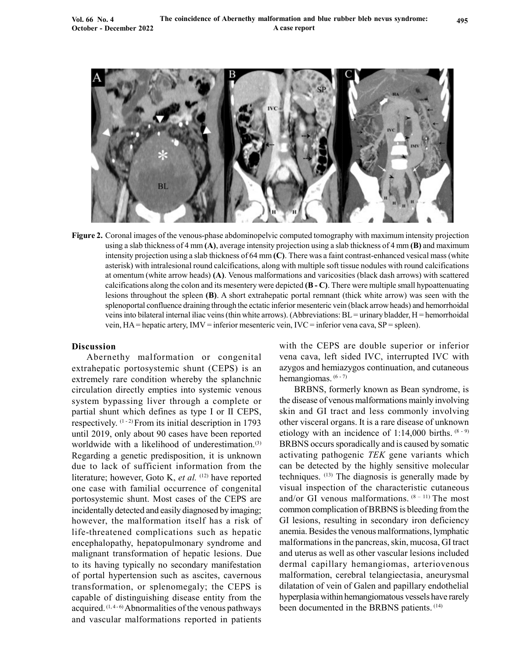

Figure 2. Coronal images of the venous-phase abdominopelvic computed tomography with maximum intensity projection using a slab thickness of 4 mm (A), average intensity projection using a slab thickness of 4 mm (B) and maximum intensity projection using a slab thickness of 64 mm (C). There was a faint contrast-enhanced vesical mass (white asterisk) with intralesional round calcifications, along with multiple soft tissue nodules with round calcifications at omentum (white arrow heads) (A). Venous malformations and varicosities (black dash arrows) with scattered calcifications along the colon and its mesentery were depicted (B - C). There were multiple small hypoattenuating lesions throughout the spleen (B). A short extrahepatic portal remnant (thick white arrow) was seen with the splenoportal confluence draining through the ectatic inferior mesenteric vein (black arrow heads) and hemorrhoidal veins into bilateral internal iliac veins (thin white arrows). (Abbreviations: BL = urinary bladder, H = hemorrhoidal vein,  $HA$  = hepatic artery,  $INV$  = inferior mesenteric vein,  $IVC$  = inferior vena cava,  $SP$  = spleen).

### Discussion

Abernethy malformation or congenital extrahepatic portosystemic shunt (CEPS) is an extremely rare condition whereby the splanchnic circulation directly empties into systemic venous system bypassing liver through a complete or partial shunt which defines as type I or II CEPS, respectively.  $(1 - 2)$  From its initial description in 1793 until 2019, only about 90 cases have been reported worldwide with a likelihood of underestimation.<sup>(3)</sup> Regarding a genetic predisposition, it is unknown due to lack of sufficient information from the literature; however, Goto K, et al.  $(12)$  have reported one case with familial occurrence of congenital portosystemic shunt. Most cases of the CEPS are incidentally detected and easily diagnosed by imaging; however, the malformation itself has a risk of life-threatened complications such as hepatic encephalopathy, hepatopulmonary syndrome and malignant transformation of hepatic lesions. Due to its having typically no secondary manifestation of portal hypertension such as ascites, cavernous transformation, or splenomegaly; the CEPS is capable of distinguishing disease entity from the acquired.  $(1, 4 - 6)$  Abnormalities of the venous pathways and vascular malformations reported in patients

with the CEPS are double superior or inferior vena cava, left sided IVC, interrupted IVC with azygos and hemiazygos continuation, and cutaneous hemangiomas. (6 - 7)

BRBNS, formerly known as Bean syndrome, is the disease of venous malformations mainly involving skin and GI tract and less commonly involving other visceral organs. It is a rare disease of unknown etiology with an incidence of 1:14,000 births.  $(8-9)$ BRBNS occurs sporadically and is caused by somatic activating pathogenic TEK gene variants which can be detected by the highly sensitive molecular techniques. (13) The diagnosis is generally made by visual inspection of the characteristic cutaneous and/or GI venous malformations.  $(8 - 11)$  The most common complication of BRBNS is bleeding from the GI lesions, resulting in secondary iron deficiency anemia. Besides the venous malformations, lymphatic malformations in the pancreas, skin, mucosa, GI tract and uterus as well as other vascular lesions included dermal capillary hemangiomas, arteriovenous malformation, cerebral telangiectasia, aneurysmal dilatation of vein of Galen and papillary endothelial hyperplasia within hemangiomatous vessels have rarely been documented in the BRBNS patients. (14)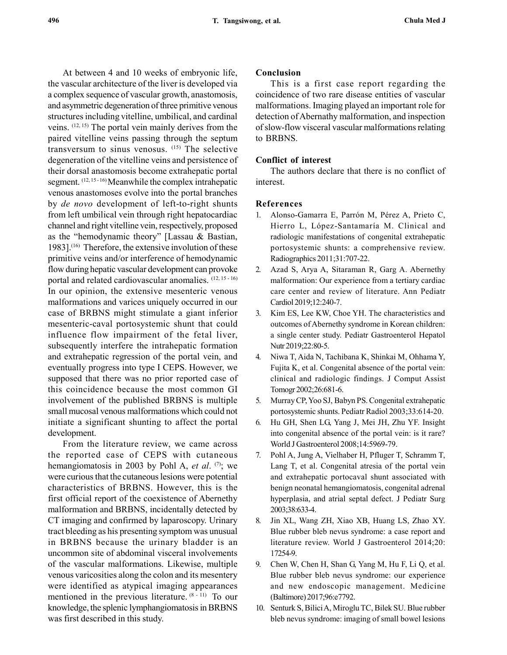At between 4 and 10 weeks of embryonic life, the vascular architecture of the liver is developed via a complex sequence of vascular growth, anastomosis, and asymmetric degeneration of three primitive venous structures including vitelline, umbilical, and cardinal veins. (12, 15) The portal vein mainly derives from the paired vitelline veins passing through the septum transversum to sinus venosus. (15) The selective degeneration of the vitelline veins and persistence of their dorsal anastomosis become extrahepatic portal segment. (12, 15 - 16) Meanwhile the complex intrahepatic venous anastomoses evolve into the portal branches by de novo development of left-to-right shunts from left umbilical vein through right hepatocardiac channel and right vitelline vein, respectively, proposed as the "hemodynamic theory" [Lassau & Bastian, 1983]. $(16)$  Therefore, the extensive involution of these primitive veins and/or interference of hemodynamic flow during hepatic vascular development can provoke portal and related cardiovascular anomalies. (12, 15 - 16) In our opinion, the extensive mesenteric venous malformations and varices uniquely occurred in our case of BRBNS might stimulate a giant inferior mesenteric-caval portosystemic shunt that could influence flow impairment of the fetal liver, subsequently interfere the intrahepatic formation and extrahepatic regression of the portal vein, and eventually progress into type I CEPS. However, we supposed that there was no prior reported case of this coincidence because the most common GI involvement of the published BRBNS is multiple small mucosal venous malformations which could not initiate a significant shunting to affect the portal development.

From the literature review, we came across the reported case of CEPS with cutaneous hemangiomatosis in 2003 by Pohl A, *et al.*  $(7)$ ; we were curious that the cutaneous lesions were potential characteristics of BRBNS. However, this is the first official report of the coexistence of Abernethy malformation and BRBNS, incidentally detected by CT imaging and confirmed by laparoscopy. Urinary tract bleeding as his presenting symptom was unusual in BRBNS because the urinary bladder is an uncommon site of abdominal visceral involvements of the vascular malformations. Likewise, multiple venous varicosities along the colon and its mesentery were identified as atypical imaging appearances mentioned in the previous literature. (8 - 11) To our knowledge, the splenic lymphangiomatosis in BRBNS was first described in this study.

### Conclusion

This is a first case report regarding the coincidence of two rare disease entities of vascular malformations. Imaging played an important role for detection of Abernathy malformation, and inspection of slow-flow visceral vascular malformations relating to BRBNS.

### Conflict of interest

The authors declare that there is no conflict of interest.

### References

- 1. Alonso-Gamarra E, Parrón M, Pérez A, Prieto C, Hierro L, López-Santamaría M. Clinical and radiologic manifestations of congenital extrahepatic portosystemic shunts: a comprehensive review. Radiographics 2011;31:707-22.
- 2. Azad S, Arya A, Sitaraman R, Garg A. Abernethy malformation: Our experience from a tertiary cardiac care center and review of literature. Ann Pediatr Cardiol 2019;12:240-7.
- 3. Kim ES, Lee KW, Choe YH. The characteristics and outcomes of Abernethy syndrome in Korean children: a single center study. Pediatr Gastroenterol Hepatol Nutr 2019;22:80-5.
- 4. Niwa T, Aida N, Tachibana K, Shinkai M, Ohhama Y, Fujita K, et al. Congenital absence of the portal vein: clinical and radiologic findings. J Comput Assist Tomogr 2002;26:681-6.
- 5. Murray CP, Yoo SJ, Babyn PS. Congenital extrahepatic portosystemic shunts. Pediatr Radiol 2003;33:614-20.
- 6. Hu GH, Shen LG, Yang J, Mei JH, Zhu YF. Insight into congenital absence of the portal vein: is it rare? World J Gastroenterol 2008;14:5969-79.
- 7. Pohl A, Jung A, Vielhaber H, Pfluger T, Schramm T, Lang T, et al. Congenital atresia of the portal vein and extrahepatic portocaval shunt associated with benign neonatal hemangiomatosis, congenital adrenal hyperplasia, and atrial septal defect. J Pediatr Surg 2003;38:633-4.
- 8. Jin XL, Wang ZH, Xiao XB, Huang LS, Zhao XY. Blue rubber bleb nevus syndrome: a case report and literature review. World J Gastroenterol 2014;20: 17254-9.
- 9. Chen W, Chen H, Shan G, Yang M, Hu F, Li Q, et al. Blue rubber bleb nevus syndrome: our experience and new endoscopic management. Medicine (Baltimore) 2017;96:e7792.
- 10. Senturk S, Bilici A, Miroglu TC, Bilek SU. Blue rubber bleb nevus syndrome: imaging of small bowel lesions